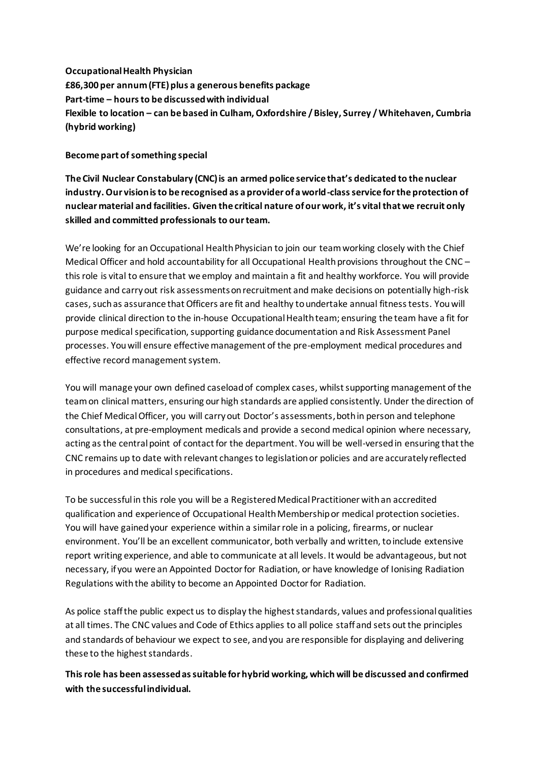**Occupational Health Physician £86,300 per annum (FTE) plus a generous benefits package Part-time – hours to be discussed with individual Flexible to location – can be based in Culham, Oxfordshire / Bisley, Surrey / Whitehaven, Cumbria (hybrid working)**

## **Become part of something special**

**The Civil Nuclear Constabulary (CNC) is an armed police service that's dedicated to the nuclear industry. Our vision is to be recognised as a provider of a world-class service for the protection of nuclear material and facilities. Given the critical nature of our work, it's vital that we recruit only skilled and committed professionals to our team.**

We're looking for an Occupational Health Physician to join our team working closely with the Chief Medical Officer and hold accountability for all Occupational Health provisions throughout the CNC – this role is vital to ensure that we employ and maintain a fit and healthy workforce. You will provide guidance and carry out risk assessments on recruitment and make decisions on potentially high-risk cases, such as assurance that Officers are fit and healthy to undertake annual fitness tests. You will provide clinical direction to the in-house Occupational Health team; ensuring the team have a fit for purpose medical specification, supporting guidance documentation and Risk Assessment Panel processes. You will ensure effective management of the pre-employment medical procedures and effective record management system.

You will manage your own defined caseload of complex cases, whilst supporting management of the teamon clinical matters, ensuring our high standards are applied consistently. Under the direction of the Chief Medical Officer, you will carry out Doctor's assessments, both in person and telephone consultations, at pre-employment medicals and provide a second medical opinion where necessary, acting as the central point of contact for the department. You will be well-versed in ensuring that the CNC remains up to date with relevant changes to legislation or policies and are accurately reflected in procedures and medical specifications.

To be successful in this role you will be a Registered Medical Practitioner with an accredited qualification and experience of Occupational Health Membership or medical protection societies. You will have gained your experience within a similar role in a policing, firearms, or nuclear environment. You'll be an excellent communicator, both verbally and written, to include extensive report writing experience, and able to communicate at all levels. It would be advantageous, but not necessary, if you were an Appointed Doctor for Radiation, or have knowledge of Ionising Radiation Regulations with the ability to become an Appointed Doctor for Radiation.

As police staff the public expect us to display the highest standards, values and professional qualities at all times. The CNC values and Code of Ethics applies to all police staff and sets out the principles and standards of behaviour we expect to see, and you are responsible for displaying and delivering these to the highest standards.

**This role has been assessed as suitable for hybrid working, which will be discussed and confirmed with the successful individual.**